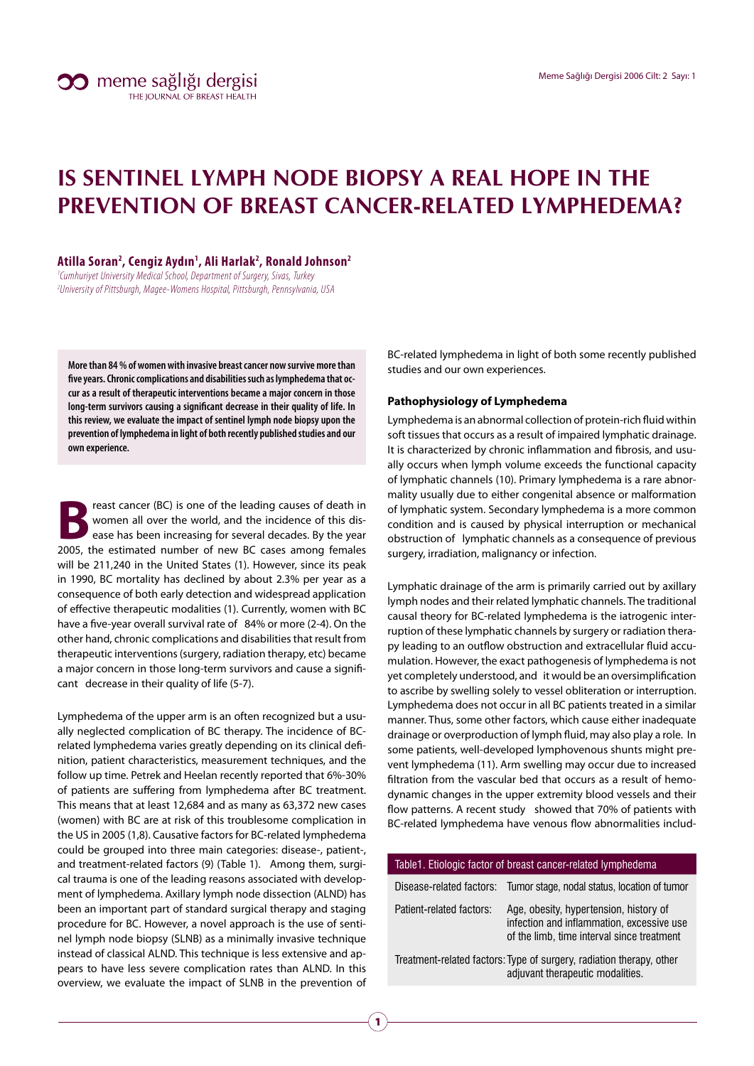# **IS SENTINEL LYMPH NODE BIOPSY A REAL HOPE IN THE PREVENTION OF BREAST CANCER-RELATED LYMPHEDEMA?**

**Atilla Soran2 , Cengiz Aydın1 , Ali Harlak2 , Ronald Johnson2**

<sup>1</sup>Cumhuriyet University Medical School, Department of Surgery, Sivas, Turkey 2 University of Pittsburgh, Magee-Womens Hospital, Pittsburgh, Pennsylvania, USA

**More than 84 % of women with invasive breast cancer now survive more than five years. Chronic complications and disabilities such as lymphedema that occur as a result of therapeutic interventions became a major concern in those long-term survivors causing a significant decrease in their quality of life. In this review, we evaluate the impact of sentinel lymph node biopsy upon the prevention of lymphedema in light of both recently published studies and our own experience.**

reast cancer (BC) is one of the leading causes of death in women all over the world, and the incidence of this disease has been increasing for several decades. By the year 2005, the estimated number of new BC cases among females will be 211,240 in the United States (1). However, since its peak in 1990, BC mortality has declined by about 2.3% per year as a consequence of both early detection and widespread application of effective therapeutic modalities (1). Currently, women with BC have a five-year overall survival rate of 84% or more (2-4). On the other hand, chronic complications and disabilities that result from therapeutic interventions (surgery, radiation therapy, etc) became a major concern in those long-term survivors and cause a significant decrease in their quality of life (5-7).

Lymphedema of the upper arm is an often recognized but a usually neglected complication of BC therapy. The incidence of BCrelated lymphedema varies greatly depending on its clinical definition, patient characteristics, measurement techniques, and the follow up time. Petrek and Heelan recently reported that 6%-30% of patients are suffering from lymphedema after BC treatment. This means that at least 12,684 and as many as 63,372 new cases (women) with BC are at risk of this troublesome complication in the US in 2005 (1,8). Causative factors for BC-related lymphedema could be grouped into three main categories: disease-, patient-, and treatment-related factors (9) (Table 1). Among them, surgical trauma is one of the leading reasons associated with development of lymphedema. Axillary lymph node dissection (ALND) has been an important part of standard surgical therapy and staging procedure for BC. However, a novel approach is the use of sentinel lymph node biopsy (SLNB) as a minimally invasive technique instead of classical ALND. This technique is less extensive and appears to have less severe complication rates than ALND. In this overview, we evaluate the impact of SLNB in the prevention of BC-related lymphedema in light of both some recently published studies and our own experiences.

### **Pathophysiology of Lymphedema**

Lymphedema is an abnormal collection of protein-rich fluid within soft tissues that occurs as a result of impaired lymphatic drainage. It is characterized by chronic inflammation and fibrosis, and usually occurs when lymph volume exceeds the functional capacity of lymphatic channels (10). Primary lymphedema is a rare abnormality usually due to either congenital absence or malformation of lymphatic system. Secondary lymphedema is a more common condition and is caused by physical interruption or mechanical obstruction of lymphatic channels as a consequence of previous surgery, irradiation, malignancy or infection.

Lymphatic drainage of the arm is primarily carried out by axillary lymph nodes and their related lymphatic channels. The traditional causal theory for BC-related lymphedema is the iatrogenic interruption of these lymphatic channels by surgery or radiation therapy leading to an outflow obstruction and extracellular fluid accumulation. However, the exact pathogenesis of lymphedema is not yet completely understood, and it would be an oversimplification to ascribe by swelling solely to vessel obliteration or interruption. Lymphedema does not occur in all BC patients treated in a similar manner. Thus, some other factors, which cause either inadequate drainage or overproduction of lymph fluid, may also play a role. In some patients, well-developed lymphovenous shunts might prevent lymphedema (11). Arm swelling may occur due to increased filtration from the vascular bed that occurs as a result of hemodynamic changes in the upper extremity blood vessels and their flow patterns. A recent study showed that 70% of patients with BC-related lymphedema have venous flow abnormalities includ-

| Table1. Etiologic factor of breast cancer-related lymphedema                                             |                                                                                                                                   |  |  |  |  |
|----------------------------------------------------------------------------------------------------------|-----------------------------------------------------------------------------------------------------------------------------------|--|--|--|--|
|                                                                                                          | Disease-related factors: Tumor stage, nodal status, location of tumor                                                             |  |  |  |  |
| Patient-related factors:                                                                                 | Age, obesity, hypertension, history of<br>infection and inflammation, excessive use<br>of the limb, time interval since treatment |  |  |  |  |
| Treatment-related factors: Type of surgery, radiation therapy, other<br>adjuvant therapeutic modalities. |                                                                                                                                   |  |  |  |  |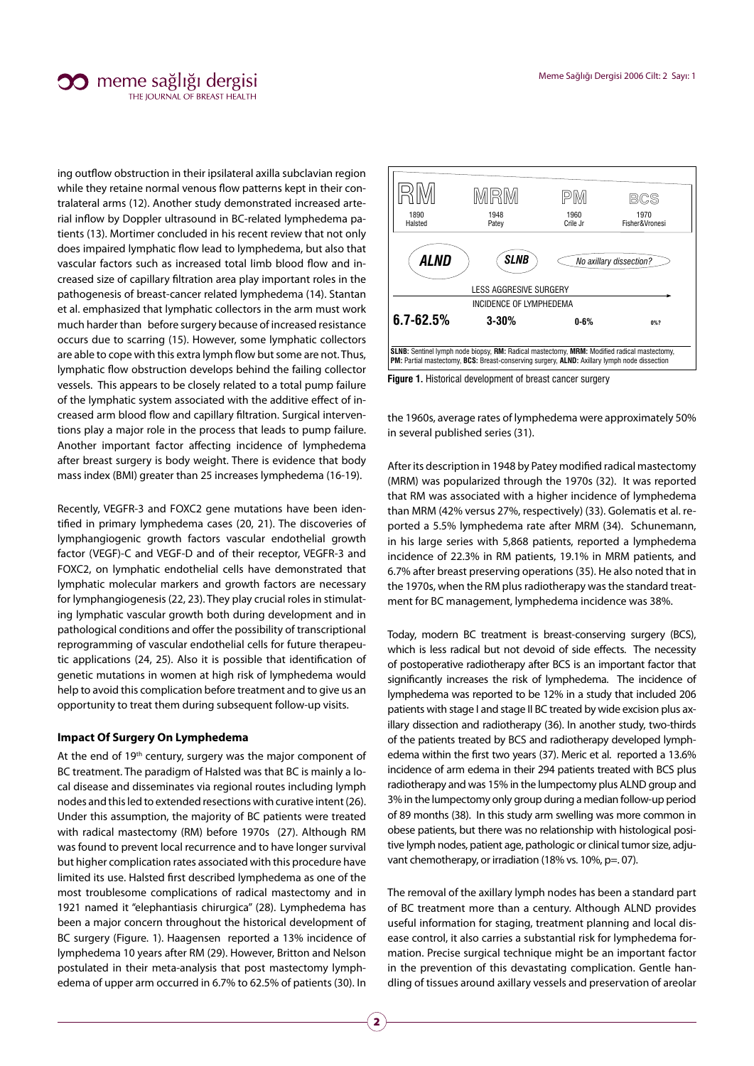## $\infty$  meme sağlığı dergisi THE IOURNAL OF BREAST HEALTH

ing outflow obstruction in their ipsilateral axilla subclavian region while they retaine normal venous flow patterns kept in their contralateral arms (12). Another study demonstrated increased arterial inflow by Doppler ultrasound in BC-related lymphedema patients (13). Mortimer concluded in his recent review that not only does impaired lymphatic flow lead to lymphedema, but also that vascular factors such as increased total limb blood flow and increased size of capillary filtration area play important roles in the pathogenesis of breast-cancer related lymphedema (14). Stantan et al. emphasized that lymphatic collectors in the arm must work much harder than before surgery because of increased resistance occurs due to scarring (15). However, some lymphatic collectors are able to cope with this extra lymph flow but some are not. Thus, lymphatic flow obstruction develops behind the failing collector vessels. This appears to be closely related to a total pump failure of the lymphatic system associated with the additive effect of increased arm blood flow and capillary filtration. Surgical interventions play a major role in the process that leads to pump failure. Another important factor affecting incidence of lymphedema after breast surgery is body weight. There is evidence that body mass index (BMI) greater than 25 increases lymphedema (16-19).

Recently, VEGFR-3 and FOXC2 gene mutations have been identified in primary lymphedema cases (20, 21). The discoveries of lymphangiogenic growth factors vascular endothelial growth factor (VEGF)-C and VEGF-D and of their receptor, VEGFR-3 and FOXC2, on lymphatic endothelial cells have demonstrated that lymphatic molecular markers and growth factors are necessary for lymphangiogenesis (22, 23). They play crucial roles in stimulating lymphatic vascular growth both during development and in pathological conditions and offer the possibility of transcriptional reprogramming of vascular endothelial cells for future therapeutic applications (24, 25). Also it is possible that identification of genetic mutations in women at high risk of lymphedema would help to avoid this complication before treatment and to give us an opportunity to treat them during subsequent follow-up visits.

#### **Impact Of Surgery On Lymphedema**

At the end of 19<sup>th</sup> century, surgery was the major component of BC treatment. The paradigm of Halsted was that BC is mainly a local disease and disseminates via regional routes including lymph nodes and this led to extended resections with curative intent (26). Under this assumption, the majority of BC patients were treated with radical mastectomy (RM) before 1970s (27). Although RM was found to prevent local recurrence and to have longer survival but higher complication rates associated with this procedure have limited its use. Halsted first described lymphedema as one of the most troublesome complications of radical mastectomy and in 1921 named it "elephantiasis chirurgica" (28). Lymphedema has been a major concern throughout the historical development of BC surgery (Figure. 1). Haagensen reported a 13% incidence of lymphedema 10 years after RM (29). However, Britton and Nelson postulated in their meta-analysis that post mastectomy lymphedema of upper arm occurred in 6.7% to 62.5% of patients (30). In



**Figure 1.** Historical development of breast cancer surgery

the 1960s, average rates of lymphedema were approximately 50% in several published series (31).

After its description in 1948 by Patey modified radical mastectomy (MRM) was popularized through the 1970s (32). It was reported that RM was associated with a higher incidence of lymphedema than MRM (42% versus 27%, respectively) (33). Golematis et al. reported a 5.5% lymphedema rate after MRM (34). Schunemann, in his large series with 5,868 patients, reported a lymphedema incidence of 22.3% in RM patients, 19.1% in MRM patients, and 6.7% after breast preserving operations (35). He also noted that in the 1970s, when the RM plus radiotherapy was the standard treatment for BC management, lymphedema incidence was 38%.

Today, modern BC treatment is breast-conserving surgery (BCS), which is less radical but not devoid of side effects. The necessity of postoperative radiotherapy after BCS is an important factor that significantly increases the risk of lymphedema. The incidence of lymphedema was reported to be 12% in a study that included 206 patients with stage I and stage II BC treated by wide excision plus axillary dissection and radiotherapy (36). In another study, two-thirds of the patients treated by BCS and radiotherapy developed lymphedema within the first two years (37). Meric et al. reported a 13.6% incidence of arm edema in their 294 patients treated with BCS plus radiotherapy and was 15% in the lumpectomy plus ALND group and 3% in the lumpectomy only group during a median follow-up period of 89 months (38). In this study arm swelling was more common in obese patients, but there was no relationship with histological positive lymph nodes, patient age, pathologic or clinical tumor size, adjuvant chemotherapy, or irradiation (18% vs. 10%, p=. 07).

The removal of the axillary lymph nodes has been a standard part of BC treatment more than a century. Although ALND provides useful information for staging, treatment planning and local disease control, it also carries a substantial risk for lymphedema formation. Precise surgical technique might be an important factor in the prevention of this devastating complication. Gentle handling of tissues around axillary vessels and preservation of areolar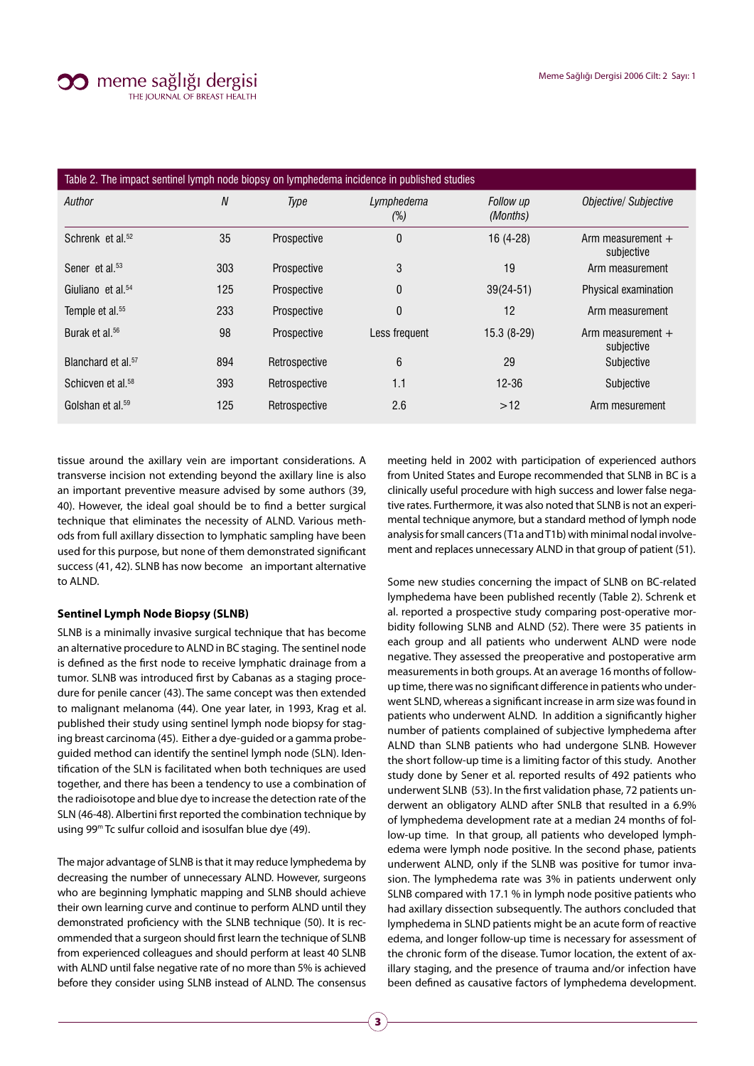

| Table 2. The impact sentinel lymph node biopsy on lymphedema incidence in published studies |                  |               |                      |                       |                                   |  |
|---------------------------------------------------------------------------------------------|------------------|---------------|----------------------|-----------------------|-----------------------------------|--|
| Author                                                                                      | $\boldsymbol{N}$ | Type          | Lymphedema<br>$(\%)$ | Follow up<br>(Months) | <b>Objective/ Subjective</b>      |  |
| Schrenk et al. <sup>52</sup>                                                                | 35               | Prospective   | 0                    | 16 (4-28)             | Arm measurement $+$<br>subjective |  |
| Sener et al. <sup>53</sup>                                                                  | 303              | Prospective   | 3                    | 19                    | Arm measurement                   |  |
| Giuliano et al. <sup>54</sup>                                                               | 125              | Prospective   | 0                    | $39(24-51)$           | Physical examination              |  |
| Temple et al. <sup>55</sup>                                                                 | 233              | Prospective   | 0                    | 12                    | Arm measurement                   |  |
| Burak et al. <sup>56</sup>                                                                  | 98               | Prospective   | Less frequent        | $15.3(8-29)$          | Arm measurement $+$<br>subjective |  |
| Blanchard et al. <sup>57</sup>                                                              | 894              | Retrospective | 6                    | 29                    | Subjective                        |  |
| Schicven et al. <sup>58</sup>                                                               | 393              | Retrospective | 1.1                  | $12 - 36$             | Subjective                        |  |
| Golshan et al. <sup>59</sup>                                                                | 125              | Retrospective | 2.6                  | >12                   | Arm mesurement                    |  |

tissue around the axillary vein are important considerations. A transverse incision not extending beyond the axillary line is also an important preventive measure advised by some authors (39, 40). However, the ideal goal should be to find a better surgical technique that eliminates the necessity of ALND. Various methods from full axillary dissection to lymphatic sampling have been used for this purpose, but none of them demonstrated significant success (41, 42). SLNB has now become an important alternative to ALND.

#### **Sentinel Lymph Node Biopsy (SLNB)**

SLNB is a minimally invasive surgical technique that has become an alternative procedure to ALND in BC staging. The sentinel node is defined as the first node to receive lymphatic drainage from a tumor. SLNB was introduced first by Cabanas as a staging procedure for penile cancer (43). The same concept was then extended to malignant melanoma (44). One year later, in 1993, Krag et al. published their study using sentinel lymph node biopsy for staging breast carcinoma (45). Either a dye-guided or a gamma probeguided method can identify the sentinel lymph node (SLN). Identification of the SLN is facilitated when both techniques are used together, and there has been a tendency to use a combination of the radioisotope and blue dye to increase the detection rate of the SLN (46-48). Albertini first reported the combination technique by using 99m Tc sulfur colloid and isosulfan blue dye (49).

The major advantage of SLNB is that it may reduce lymphedema by decreasing the number of unnecessary ALND. However, surgeons who are beginning lymphatic mapping and SLNB should achieve their own learning curve and continue to perform ALND until they demonstrated proficiency with the SLNB technique (50). It is recommended that a surgeon should first learn the technique of SLNB from experienced colleagues and should perform at least 40 SLNB with ALND until false negative rate of no more than 5% is achieved before they consider using SLNB instead of ALND. The consensus

meeting held in 2002 with participation of experienced authors from United States and Europe recommended that SLNB in BC is a clinically useful procedure with high success and lower false negative rates. Furthermore, it was also noted that SLNB is not an experimental technique anymore, but a standard method of lymph node analysis for small cancers (T1a and T1b) with minimal nodal involvement and replaces unnecessary ALND in that group of patient (51).

Some new studies concerning the impact of SLNB on BC-related lymphedema have been published recently (Table 2). Schrenk et al. reported a prospective study comparing post-operative morbidity following SLNB and ALND (52). There were 35 patients in each group and all patients who underwent ALND were node negative. They assessed the preoperative and postoperative arm measurements in both groups. At an average 16 months of followup time, there was no significant difference in patients who underwent SLND, whereas a significant increase in arm size was found in patients who underwent ALND. In addition a significantly higher number of patients complained of subjective lymphedema after ALND than SLNB patients who had undergone SLNB. However the short follow-up time is a limiting factor of this study. Another study done by Sener et al. reported results of 492 patients who underwent SLNB (53). In the first validation phase, 72 patients underwent an obligatory ALND after SNLB that resulted in a 6.9% of lymphedema development rate at a median 24 months of follow-up time. In that group, all patients who developed lymphedema were lymph node positive. In the second phase, patients underwent ALND, only if the SLNB was positive for tumor invasion. The lymphedema rate was 3% in patients underwent only SLNB compared with 17.1 % in lymph node positive patients who had axillary dissection subsequently. The authors concluded that lymphedema in SLND patients might be an acute form of reactive edema, and longer follow-up time is necessary for assessment of the chronic form of the disease. Tumor location, the extent of axillary staging, and the presence of trauma and/or infection have been defined as causative factors of lymphedema development.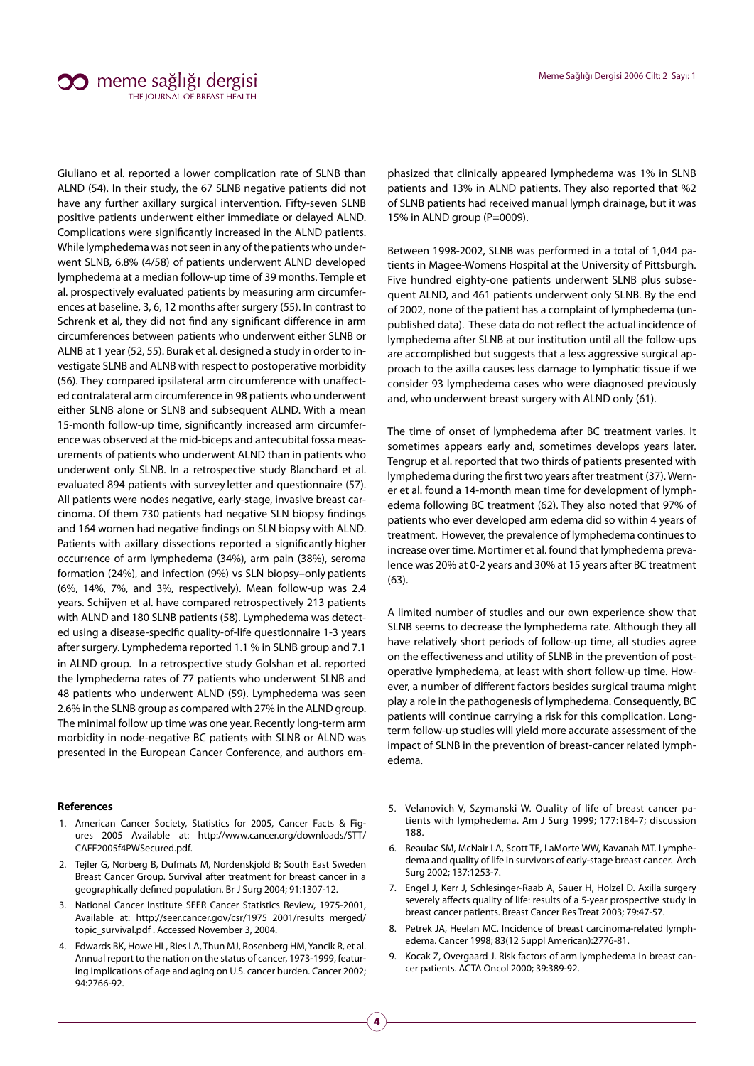Giuliano et al. reported a lower complication rate of SLNB than ALND (54). In their study, the 67 SLNB negative patients did not have any further axillary surgical intervention. Fifty-seven SLNB positive patients underwent either immediate or delayed ALND. Complications were significantly increased in the ALND patients. While lymphedema was not seen in any of the patients who underwent SLNB, 6.8% (4/58) of patients underwent ALND developed lymphedema at a median follow-up time of 39 months. Temple et al. prospectively evaluated patients by measuring arm circumferences at baseline, 3, 6, 12 months after surgery (55). In contrast to Schrenk et al, they did not find any significant difference in arm circumferences between patients who underwent either SLNB or ALNB at 1 year (52, 55). Burak et al. designed a study in order to investigate SLNB and ALNB with respect to postoperative morbidity (56). They compared ipsilateral arm circumference with unaffected contralateral arm circumference in 98 patients who underwent either SLNB alone or SLNB and subsequent ALND. With a mean 15-month follow-up time, significantly increased arm circumference was observed at the mid-biceps and antecubital fossa measurements of patients who underwent ALND than in patients who underwent only SLNB. In a retrospective study Blanchard et al. evaluated 894 patients with survey letter and questionnaire (57). All patients were nodes negative, early-stage, invasive breast carcinoma. Of them 730 patients had negative SLN biopsy findings and 164 women had negative findings on SLN biopsy with ALND. Patients with axillary dissections reported a significantly higher occurrence of arm lymphedema (34%), arm pain (38%), seroma formation (24%), and infection (9%) vs SLN biopsy–only patients (6%, 14%, 7%, and 3%, respectively). Mean follow-up was 2.4 years. Schijven et al. have compared retrospectively 213 patients with ALND and 180 SLNB patients (58). Lymphedema was detected using a disease-specific quality-of-life questionnaire 1-3 years after surgery. Lymphedema reported 1.1 % in SLNB group and 7.1 in ALND group. In a retrospective study Golshan et al. reported the lymphedema rates of 77 patients who underwent SLNB and 48 patients who underwent ALND (59). Lymphedema was seen 2.6% in the SLNB group as compared with 27% in the ALND group. The minimal follow up time was one year. Recently long-term arm morbidity in node-negative BC patients with SLNB or ALND was presented in the European Cancer Conference, and authors em-

#### **References**

- 1. American Cancer Society, Statistics for 2005, Cancer Facts & Figures 2005 Available at: http://www.cancer.org/downloads/STT/ CAFF2005f4PWSecured.pdf.
- 2. Tejler G, Norberg B, Dufmats M, Nordenskjold B; South East Sweden Breast Cancer Group. Survival after treatment for breast cancer in a geographically defined population. Br J Surg 2004; 91:1307-12.
- 3. National Cancer Institute SEER Cancer Statistics Review, 1975-2001, Available at: http://seer.cancer.gov/csr/1975\_2001/results\_merged/ topic\_survival.pdf . Accessed November 3, 2004.
- 4. Edwards BK, Howe HL, Ries LA, Thun MJ, Rosenberg HM, Yancik R, et al. Annual report to the nation on the status of cancer, 1973-1999, featuring implications of age and aging on U.S. cancer burden. Cancer 2002; 94:2766-92.

4

phasized that clinically appeared lymphedema was 1% in SLNB patients and 13% in ALND patients. They also reported that %2 of SLNB patients had received manual lymph drainage, but it was 15% in ALND group (P=0009).

Between 1998-2002, SLNB was performed in a total of 1,044 patients in Magee-Womens Hospital at the University of Pittsburgh. Five hundred eighty-one patients underwent SLNB plus subsequent ALND, and 461 patients underwent only SLNB. By the end of 2002, none of the patient has a complaint of lymphedema (unpublished data). These data do not reflect the actual incidence of lymphedema after SLNB at our institution until all the follow-ups are accomplished but suggests that a less aggressive surgical approach to the axilla causes less damage to lymphatic tissue if we consider 93 lymphedema cases who were diagnosed previously and, who underwent breast surgery with ALND only (61).

The time of onset of lymphedema after BC treatment varies. It sometimes appears early and, sometimes develops years later. Tengrup et al. reported that two thirds of patients presented with lymphedema during the first two years after treatment (37). Werner et al. found a 14-month mean time for development of lymphedema following BC treatment (62). They also noted that 97% of patients who ever developed arm edema did so within 4 years of treatment. However, the prevalence of lymphedema continues to increase over time. Mortimer et al. found that lymphedema prevalence was 20% at 0-2 years and 30% at 15 years after BC treatment (63).

A limited number of studies and our own experience show that SLNB seems to decrease the lymphedema rate. Although they all have relatively short periods of follow-up time, all studies agree on the effectiveness and utility of SLNB in the prevention of postoperative lymphedema, at least with short follow-up time. However, a number of different factors besides surgical trauma might play a role in the pathogenesis of lymphedema. Consequently, BC patients will continue carrying a risk for this complication. Longterm follow-up studies will yield more accurate assessment of the impact of SLNB in the prevention of breast-cancer related lymphedema.

- 5. Velanovich V, Szymanski W. Quality of life of breast cancer patients with lymphedema. Am J Surg 1999; 177:184-7; discussion 188.
- 6. Beaulac SM, McNair LA, Scott TE, LaMorte WW, Kavanah MT. Lymphedema and quality of life in survivors of early-stage breast cancer. Arch Surg 2002; 137:1253-7.
- 7. Engel J, Kerr J, Schlesinger-Raab A, Sauer H, Holzel D. Axilla surgery severely affects quality of life: results of a 5-year prospective study in breast cancer patients. Breast Cancer Res Treat 2003; 79:47-57.
- 8. Petrek JA, Heelan MC. Incidence of breast carcinoma-related lymphedema. Cancer 1998; 83(12 Suppl American):2776-81.
- 9. Kocak Z, Overgaard J. Risk factors of arm lymphedema in breast cancer patients. ACTA Oncol 2000; 39:389-92.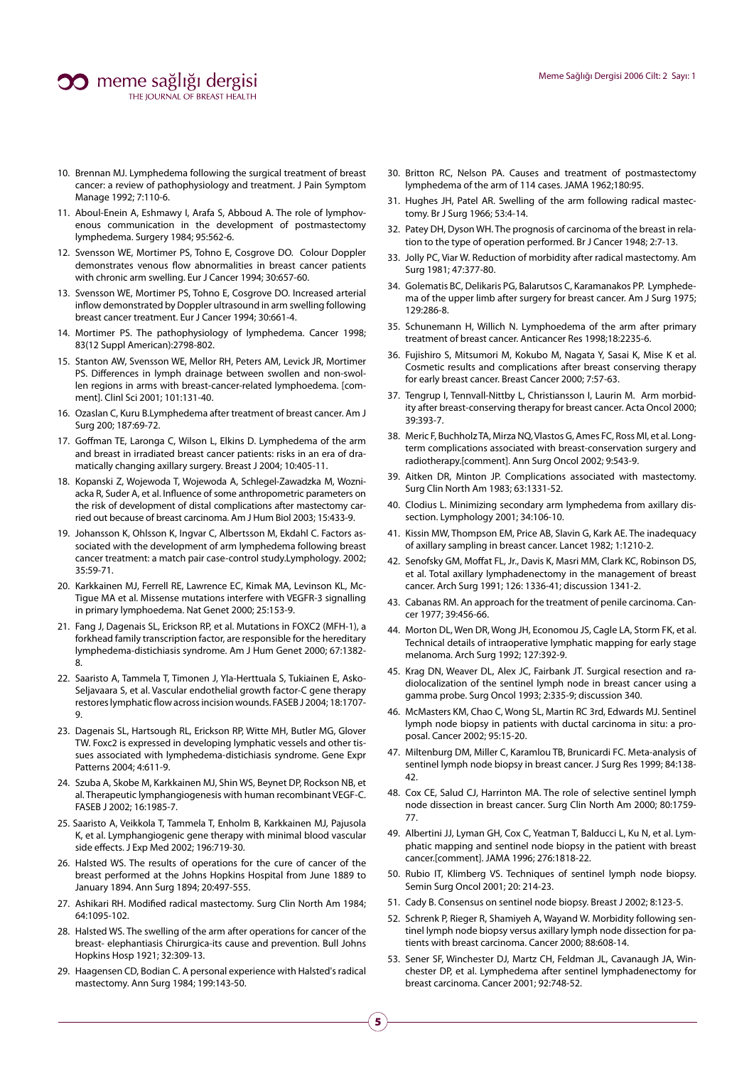- 10. Brennan MJ. Lymphedema following the surgical treatment of breast cancer: a review of pathophysiology and treatment. J Pain Symptom Manage 1992; 7:110-6.
- 11. Aboul-Enein A, Eshmawy I, Arafa S, Abboud A. The role of lymphovenous communication in the development of postmastectomy lymphedema. Surgery 1984; 95:562-6.
- 12. Svensson WE, Mortimer PS, Tohno E, Cosgrove DO. Colour Doppler demonstrates venous flow abnormalities in breast cancer patients with chronic arm swelling. Eur J Cancer 1994; 30:657-60.
- 13. Svensson WE, Mortimer PS, Tohno E, Cosgrove DO. Increased arterial inflow demonstrated by Doppler ultrasound in arm swelling following breast cancer treatment. Eur J Cancer 1994; 30:661-4.
- 14. Mortimer PS. The pathophysiology of lymphedema. Cancer 1998; 83(12 Suppl American):2798-802.
- 15. Stanton AW, Svensson WE, Mellor RH, Peters AM, Levick JR, Mortimer PS. Differences in lymph drainage between swollen and non-swollen regions in arms with breast-cancer-related lymphoedema. [comment]. Clinl Sci 2001; 101:131-40.
- 16. Ozaslan C, Kuru B.Lymphedema after treatment of breast cancer. Am J Surg 200; 187:69-72.
- 17. Goffman TE, Laronga C, Wilson L, Elkins D. Lymphedema of the arm and breast in irradiated breast cancer patients: risks in an era of dramatically changing axillary surgery. Breast J 2004; 10:405-11.
- 18. Kopanski Z, Wojewoda T, Wojewoda A, Schlegel-Zawadzka M, Wozniacka R, Suder A, et al. Influence of some anthropometric parameters on the risk of development of distal complications after mastectomy carried out because of breast carcinoma. Am J Hum Biol 2003; 15:433-9.
- 19. Johansson K, Ohlsson K, Ingvar C, Albertsson M, Ekdahl C. Factors associated with the development of arm lymphedema following breast cancer treatment: a match pair case-control study.Lymphology. 2002; 35:59-71.
- 20. Karkkainen MJ, Ferrell RE, Lawrence EC, Kimak MA, Levinson KL, Mc-Tigue MA et al. Missense mutations interfere with VEGFR-3 signalling in primary lymphoedema. Nat Genet 2000; 25:153-9.
- 21. Fang J, Dagenais SL, Erickson RP, et al. Mutations in FOXC2 (MFH-1), a forkhead family transcription factor, are responsible for the hereditary lymphedema-distichiasis syndrome. Am J Hum Genet 2000; 67:1382- 8.
- 22. Saaristo A, Tammela T, Timonen J, Yla-Herttuala S, Tukiainen E, Asko-Seljavaara S, et al. Vascular endothelial growth factor-C gene therapy restores lymphatic flow across incision wounds. FASEB J 2004; 18:1707- 9.
- 23. Dagenais SL, Hartsough RL, Erickson RP, Witte MH, Butler MG, Glover TW. Foxc2 is expressed in developing lymphatic vessels and other tissues associated with lymphedema-distichiasis syndrome. Gene Expr Patterns 2004; 4:611-9.
- 24. Szuba A, Skobe M, Karkkainen MJ, Shin WS, Beynet DP, Rockson NB, et al. Therapeutic lymphangiogenesis with human recombinant VEGF-C. FASEB J 2002; 16:1985-7.
- 25. Saaristo A, Veikkola T, Tammela T, Enholm B, Karkkainen MJ, Pajusola K, et al. Lymphangiogenic gene therapy with minimal blood vascular side effects. J Exp Med 2002; 196:719-30.
- 26. Halsted WS. The results of operations for the cure of cancer of the breast performed at the Johns Hopkins Hospital from June 1889 to January 1894. Ann Surg 1894; 20:497-555.
- 27. Ashikari RH. Modified radical mastectomy. Surg Clin North Am 1984; 64:1095-102.
- 28. Halsted WS. The swelling of the arm after operations for cancer of the breast- elephantiasis Chirurgica-its cause and prevention. Bull Johns Hopkins Hosp 1921; 32:309-13.
- 29. Haagensen CD, Bodian C. A personal experience with Halsted's radical mastectomy. Ann Surg 1984; 199:143-50.
- 30. Britton RC, Nelson PA. Causes and treatment of postmastectomy lymphedema of the arm of 114 cases. JAMA 1962;180:95.
- 31. Hughes JH, Patel AR. Swelling of the arm following radical mastectomy. Br J Surg 1966; 53:4-14.
- 32. Patey DH, Dyson WH. The prognosis of carcinoma of the breast in relation to the type of operation performed. Br J Cancer 1948; 2:7-13.
- 33. Jolly PC, Viar W. Reduction of morbidity after radical mastectomy. Am Surg 1981; 47:377-80.
- 34. Golematis BC, Delikaris PG, Balarutsos C, Karamanakos PP. Lymphedema of the upper limb after surgery for breast cancer. Am J Surg 1975; 129:286-8.
- 35. Schunemann H, Willich N. Lymphoedema of the arm after primary treatment of breast cancer. Anticancer Res 1998;18:2235-6.
- 36. Fujishiro S, Mitsumori M, Kokubo M, Nagata Y, Sasai K, Mise K et al. Cosmetic results and complications after breast conserving therapy for early breast cancer. Breast Cancer 2000; 7:57-63.
- 37. Tengrup I, Tennvall-Nittby L, Christiansson I, Laurin M. Arm morbidity after breast-conserving therapy for breast cancer. Acta Oncol 2000; 39:393-7.
- 38. Meric F, Buchholz TA, Mirza NQ, Vlastos G, Ames FC, Ross MI, et al. Longterm complications associated with breast-conservation surgery and radiotherapy.[comment]. Ann Surg Oncol 2002; 9:543-9.
- 39. Aitken DR, Minton JP. Complications associated with mastectomy. Surg Clin North Am 1983; 63:1331-52.
- 40. Clodius L. Minimizing secondary arm lymphedema from axillary dissection. Lymphology 2001; 34:106-10.
- 41. Kissin MW, Thompson EM, Price AB, Slavin G, Kark AE. The inadequacy of axillary sampling in breast cancer. Lancet 1982; 1:1210-2.
- 42. Senofsky GM, Moffat FL, Jr., Davis K, Masri MM, Clark KC, Robinson DS, et al. Total axillary lymphadenectomy in the management of breast cancer. Arch Surg 1991; 126: 1336-41; discussion 1341-2.
- 43. Cabanas RM. An approach for the treatment of penile carcinoma. Cancer 1977; 39:456-66.
- 44. Morton DL, Wen DR, Wong JH, Economou JS, Cagle LA, Storm FK, et al. Technical details of intraoperative lymphatic mapping for early stage melanoma. Arch Surg 1992; 127:392-9.
- 45. Krag DN, Weaver DL, Alex JC, Fairbank JT. Surgical resection and radiolocalization of the sentinel lymph node in breast cancer using a gamma probe. Surg Oncol 1993; 2:335-9; discussion 340.
- 46. McMasters KM, Chao C, Wong SL, Martin RC 3rd, Edwards MJ. Sentinel lymph node biopsy in patients with ductal carcinoma in situ: a proposal. Cancer 2002; 95:15-20.
- 47. Miltenburg DM, Miller C, Karamlou TB, Brunicardi FC. Meta-analysis of sentinel lymph node biopsy in breast cancer. J Surg Res 1999; 84:138- 42.
- 48. Cox CE, Salud CJ, Harrinton MA. The role of selective sentinel lymph node dissection in breast cancer. Surg Clin North Am 2000; 80:1759- 77.
- 49. Albertini JJ, Lyman GH, Cox C, Yeatman T, Balducci L, Ku N, et al. Lymphatic mapping and sentinel node biopsy in the patient with breast cancer.[comment]. JAMA 1996; 276:1818-22.
- 50. Rubio IT, Klimberg VS. Techniques of sentinel lymph node biopsy. Semin Surg Oncol 2001; 20: 214-23.
- 51. Cady B. Consensus on sentinel node biopsy. Breast J 2002; 8:123-5.
- 52. Schrenk P, Rieger R, Shamiyeh A, Wayand W. Morbidity following sentinel lymph node biopsy versus axillary lymph node dissection for patients with breast carcinoma. Cancer 2000; 88:608-14.
- 53. Sener SF, Winchester DJ, Martz CH, Feldman JL, Cavanaugh JA, Winchester DP, et al. Lymphedema after sentinel lymphadenectomy for breast carcinoma. Cancer 2001; 92:748-52.